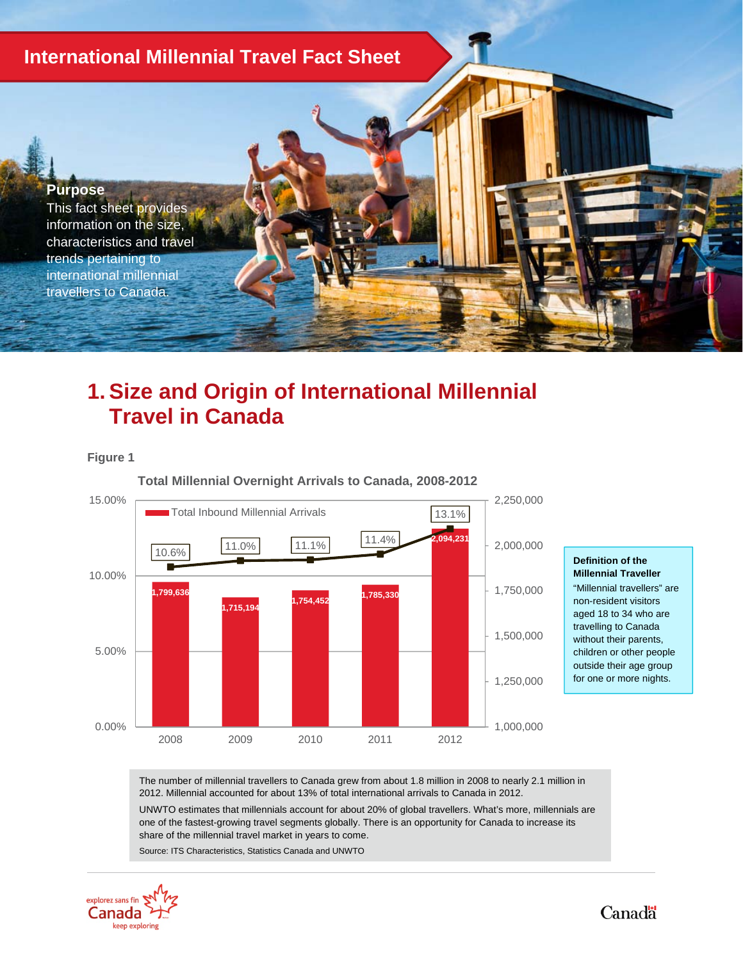# **International Millennial Travel Fact Sheet**

#### **Purpose**

This fact sheet provides information on the size, characteristics and travel trends pertaining to international millennial travellers to Canada.

# **1. Size and Origin of International Millennial Travel in Canada**

#### **Figure 1**



#### **Definition of the Millennial Traveller**

"Millennial travellers" are non-resident visitors aged 18 to 34 who are travelling to Canada without their parents, children or other people outside their age group for one or more nights.

The number of millennial travellers to Canada grew from about 1.8 million in 2008 to nearly 2.1 million in 2012. Millennial accounted for about 13% of total international arrivals to Canada in 2012.

UNWTO estimates that millennials account for about 20% of global travellers. What's more, millennials are one of the fastest-growing travel segments globally. There is an opportunity for Canada to increase its share of the millennial travel market in years to come.

Source: ITS Characteristics, Statistics Canada and UNWTO

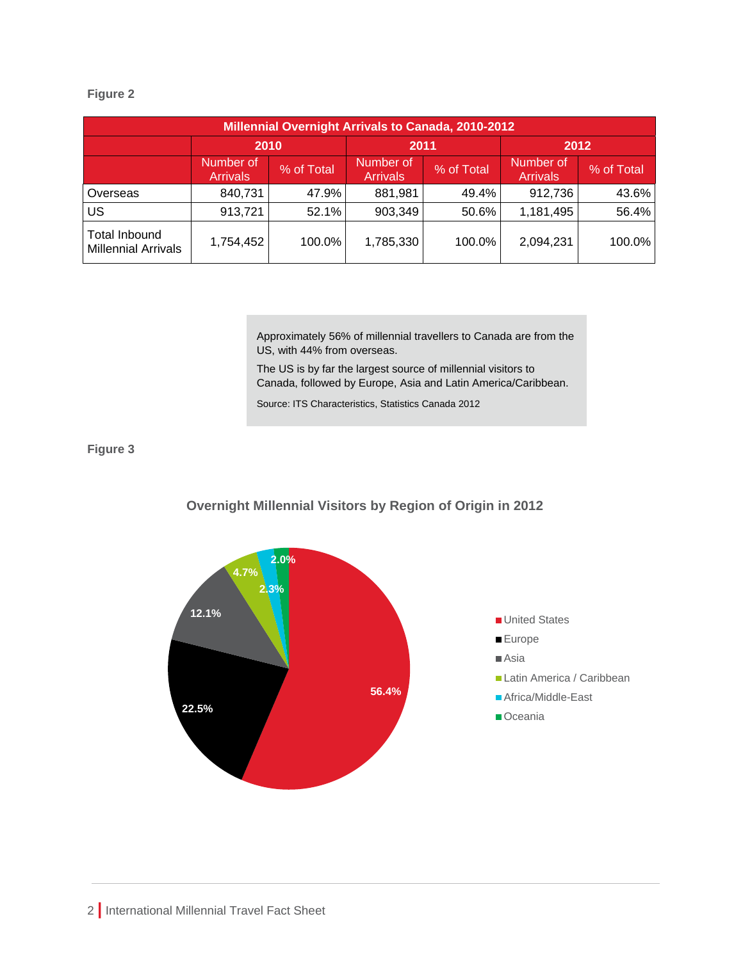### **Figure 2**

| <b>Millennial Overnight Arrivals to Canada, 2010-2012</b> |                              |            |                              |            |                              |            |  |  |  |  |
|-----------------------------------------------------------|------------------------------|------------|------------------------------|------------|------------------------------|------------|--|--|--|--|
|                                                           | 2010                         |            | 2011                         |            | 2012                         |            |  |  |  |  |
|                                                           | Number of<br><b>Arrivals</b> | % of Total | Number of<br><b>Arrivals</b> | % of Total | Number of<br><b>Arrivals</b> | % of Total |  |  |  |  |
| Overseas                                                  | 840,731                      | 47.9%      | 881,981                      | 49.4%      | 912,736                      | 43.6%      |  |  |  |  |
| US                                                        | 913,721                      | 52.1%      | 903,349                      | 50.6%      | 1,181,495                    | 56.4%      |  |  |  |  |
| <b>Total Inbound</b><br><b>Millennial Arrivals</b>        | 1,754,452                    | 100.0%     | 1,785,330                    | 100.0%     | 2,094,231                    | 100.0%     |  |  |  |  |

Approximately 56% of millennial travellers to Canada are from the US, with 44% from overseas.

The US is by far the largest source of millennial visitors to Canada, followed by Europe, Asia and Latin America/Caribbean.

Source: ITS Characteristics, Statistics Canada 2012

## **Figure 3**



### **Overnight Millennial Visitors by Region of Origin in 2012**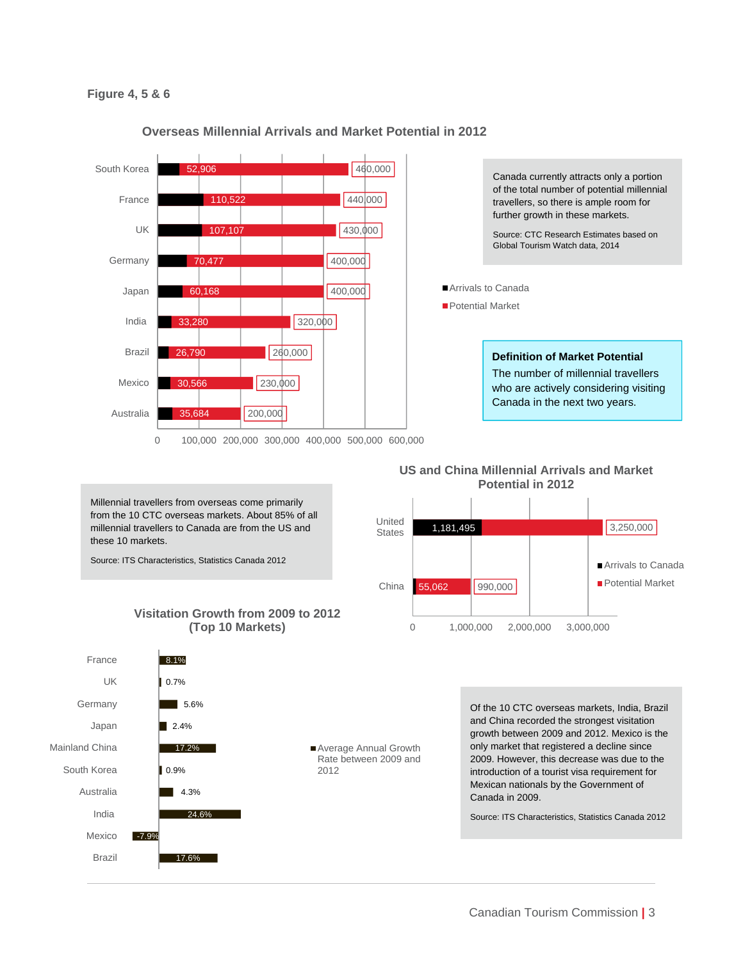#### **Figure 4, 5 & 6**



#### **Overseas Millennial Arrivals and Market Potential in 2012**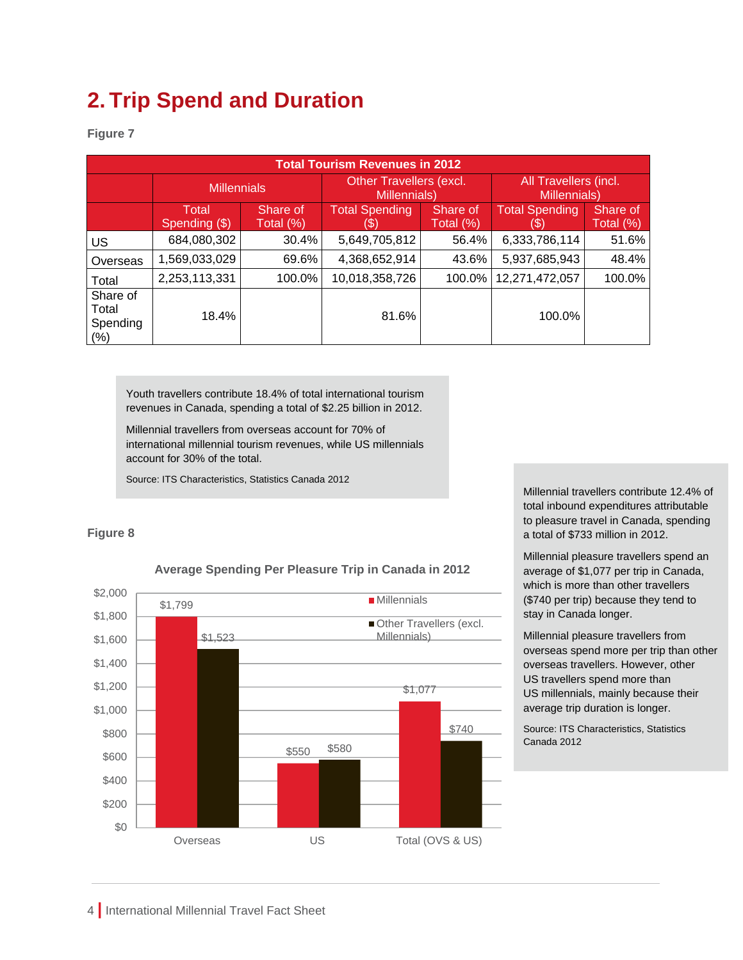# **2. Trip Spend and Duration**

**Figure 7** 

| <b>Total Tourism Revenues in 2012</b>    |                        |                       |                                                |                       |                                       |                       |  |  |  |  |  |
|------------------------------------------|------------------------|-----------------------|------------------------------------------------|-----------------------|---------------------------------------|-----------------------|--|--|--|--|--|
|                                          | <b>Millennials</b>     |                       | <b>Other Travellers (excl.</b><br>Millennials) |                       | All Travellers (incl.<br>Millennials) |                       |  |  |  |  |  |
|                                          | Total<br>Spending (\$) | Share of<br>Total (%) | <b>Total Spending</b>                          | Share of<br>Total (%) | <b>Total Spending</b><br>ь            | Share of<br>Total (%) |  |  |  |  |  |
| US                                       | 684,080,302            | 30.4%                 | 5,649,705,812                                  | 56.4%                 | 6,333,786,114                         | 51.6%                 |  |  |  |  |  |
| Overseas                                 | 1,569,033,029          | 69.6%                 | 4,368,652,914                                  | 43.6%                 | 5,937,685,943                         | 48.4%                 |  |  |  |  |  |
| Total                                    | 2,253,113,331          | 100.0%                | 10,018,358,726                                 | 100.0%                | 12,271,472,057                        | 100.0%                |  |  |  |  |  |
| Share of<br>Total<br>Spending<br>$(\% )$ | 18.4%                  |                       | 81.6%                                          |                       | 100.0%                                |                       |  |  |  |  |  |

Youth travellers contribute 18.4% of total international tourism revenues in Canada, spending a total of \$2.25 billion in 2012.

Millennial travellers from overseas account for 70% of international millennial tourism revenues, while US millennials account for 30% of the total.

Source: ITS Characteristics, Statistics Canada 2012

### **Figure 8**



**Average Spending Per Pleasure Trip in Canada in 2012**

Millennial travellers contribute 12.4% of total inbound expenditures attributable to pleasure travel in Canada, spending a total of \$733 million in 2012.

 Millennial pleasure travellers spend an average of \$1,077 per trip in Canada, which is more than other travellers (\$740 per trip) because they tend to stay in Canada longer.

Millennial pleasure travellers from overseas spend more per trip than other overseas travellers. However, other US travellers spend more than US millennials, mainly because their average trip duration is longer.

Source: ITS Characteristics, Statistics Canada 2012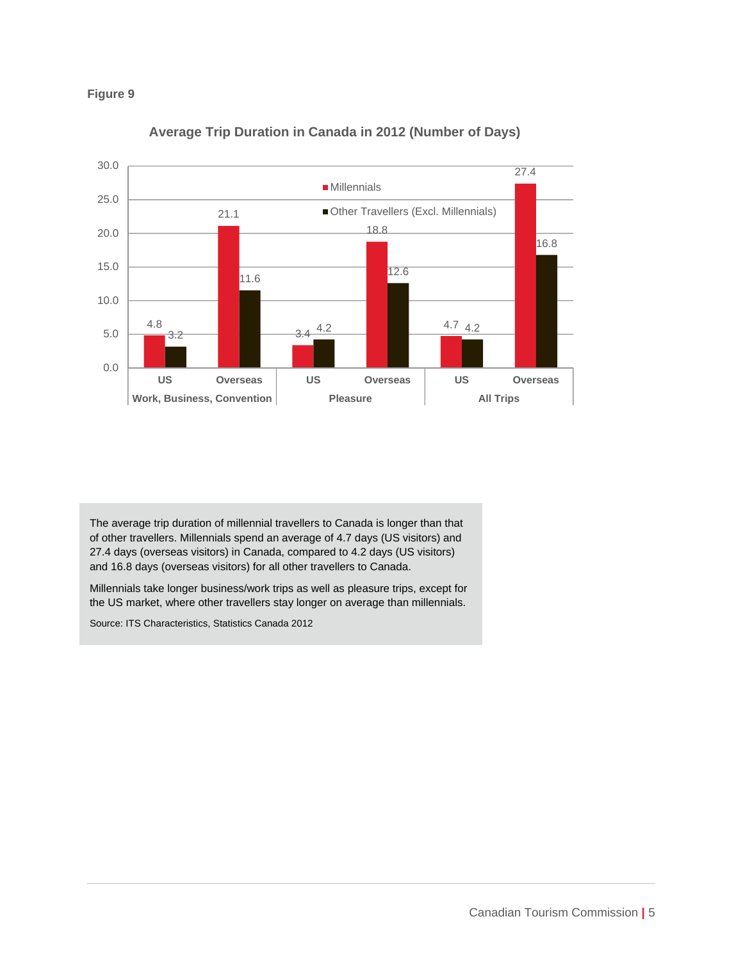



**Average Trip Duration in Canada in 2012 (Number of Days)**

The average trip duration of millennial travellers to Canada is longer than that of other travellers. Millennials spend an average of 4.7 days (US visitors) and 27.4 days (overseas visitors) in Canada, compared to 4.2 days (US visitors) and 16.8 days (overseas visitors) for all other travellers to Canada.

Millennials take longer business/work trips as well as pleasure trips, except for the US market, where other travellers stay longer on average than millennials.

Source: ITS Characteristics, Statistics Canada 2012